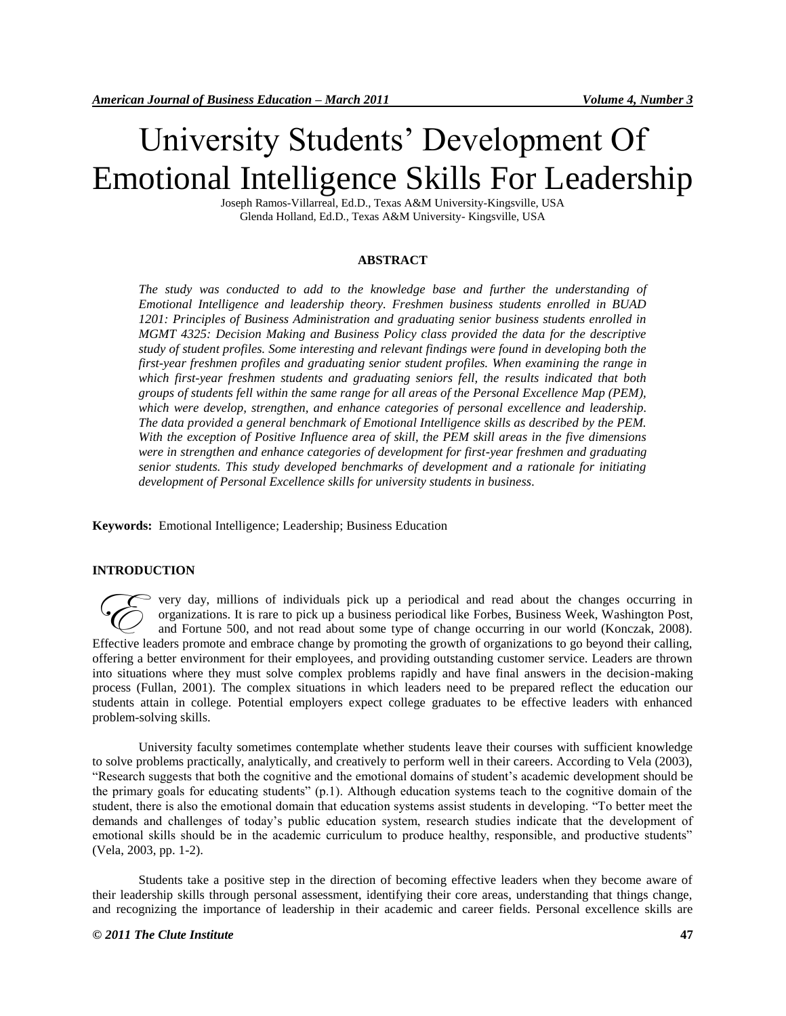# University Students' Development Of Emotional Intelligence Skills For Leadership

Joseph Ramos-Villarreal, Ed.D., Texas A&M University-Kingsville, USA Glenda Holland, Ed.D., Texas A&M University- Kingsville, USA

## **ABSTRACT**

*The study was conducted to add to the knowledge base and further the understanding of Emotional Intelligence and leadership theory. Freshmen business students enrolled in BUAD 1201: Principles of Business Administration and graduating senior business students enrolled in MGMT 4325: Decision Making and Business Policy class provided the data for the descriptive study of student profiles. Some interesting and relevant findings were found in developing both the first-year freshmen profiles and graduating senior student profiles. When examining the range in which first-year freshmen students and graduating seniors fell, the results indicated that both groups of students fell within the same range for all areas of the Personal Excellence Map (PEM), which were develop, strengthen, and enhance categories of personal excellence and leadership. The data provided a general benchmark of Emotional Intelligence skills as described by the PEM. With the exception of Positive Influence area of skill, the PEM skill areas in the five dimensions were in strengthen and enhance categories of development for first-year freshmen and graduating senior students. This study developed benchmarks of development and a rationale for initiating development of Personal Excellence skills for university students in business.*

**Keywords:** Emotional Intelligence; Leadership; Business Education

## **INTRODUCTION**

very day, millions of individuals pick up a periodical and read about the changes occurring in organizations. It is rare to pick up a business periodical like Forbes, Business Week, Washington Post, and Fortune 500, and not read about some type of change occurring in our world (Konczak, 2008). Figure 1.1 The Companizations. It is rare to pick up a business periodical and read about the changes occurring in organizations. It is rare to pick up a business periodical like Forbes, Business Week, Washington Post, and offering a better environment for their employees, and providing outstanding customer service. Leaders are thrown into situations where they must solve complex problems rapidly and have final answers in the decision-making process (Fullan, 2001). The complex situations in which leaders need to be prepared reflect the education our students attain in college. Potential employers expect college graduates to be effective leaders with enhanced problem-solving skills.

University faculty sometimes contemplate whether students leave their courses with sufficient knowledge to solve problems practically, analytically, and creatively to perform well in their careers. According to Vela (2003), "Research suggests that both the cognitive and the emotional domains of student's academic development should be the primary goals for educating students" (p.1). Although education systems teach to the cognitive domain of the student, there is also the emotional domain that education systems assist students in developing. "To better meet the demands and challenges of today's public education system, research studies indicate that the development of emotional skills should be in the academic curriculum to produce healthy, responsible, and productive students" (Vela, 2003, pp. 1-2).

Students take a positive step in the direction of becoming effective leaders when they become aware of their leadership skills through personal assessment, identifying their core areas, understanding that things change, and recognizing the importance of leadership in their academic and career fields. Personal excellence skills are

## *© 2011 The Clute Institute* **47**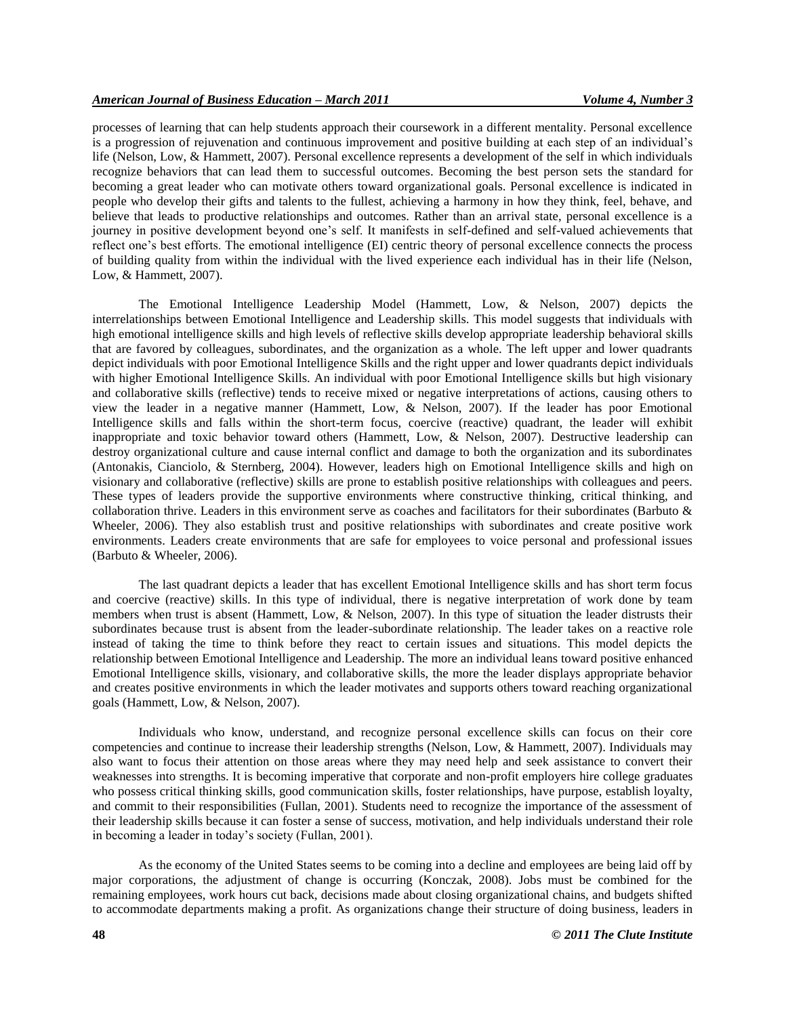# *American Journal of Business Education – March 2011 Volume 4, Number 3*

processes of learning that can help students approach their coursework in a different mentality. Personal excellence is a progression of rejuvenation and continuous improvement and positive building at each step of an individual's life (Nelson, Low, & Hammett, 2007). Personal excellence represents a development of the self in which individuals recognize behaviors that can lead them to successful outcomes. Becoming the best person sets the standard for becoming a great leader who can motivate others toward organizational goals. Personal excellence is indicated in people who develop their gifts and talents to the fullest, achieving a harmony in how they think, feel, behave, and believe that leads to productive relationships and outcomes. Rather than an arrival state, personal excellence is a journey in positive development beyond one's self. It manifests in self-defined and self-valued achievements that reflect one's best efforts. The emotional intelligence (EI) centric theory of personal excellence connects the process of building quality from within the individual with the lived experience each individual has in their life (Nelson, Low, & Hammett, 2007).

The Emotional Intelligence Leadership Model (Hammett, Low, & Nelson, 2007) depicts the interrelationships between Emotional Intelligence and Leadership skills. This model suggests that individuals with high emotional intelligence skills and high levels of reflective skills develop appropriate leadership behavioral skills that are favored by colleagues, subordinates, and the organization as a whole. The left upper and lower quadrants depict individuals with poor Emotional Intelligence Skills and the right upper and lower quadrants depict individuals with higher Emotional Intelligence Skills. An individual with poor Emotional Intelligence skills but high visionary and collaborative skills (reflective) tends to receive mixed or negative interpretations of actions, causing others to view the leader in a negative manner (Hammett, Low, & Nelson, 2007). If the leader has poor Emotional Intelligence skills and falls within the short-term focus, coercive (reactive) quadrant, the leader will exhibit inappropriate and toxic behavior toward others (Hammett, Low, & Nelson, 2007). Destructive leadership can destroy organizational culture and cause internal conflict and damage to both the organization and its subordinates (Antonakis, Cianciolo, & Sternberg, 2004). However, leaders high on Emotional Intelligence skills and high on visionary and collaborative (reflective) skills are prone to establish positive relationships with colleagues and peers. These types of leaders provide the supportive environments where constructive thinking, critical thinking, and collaboration thrive. Leaders in this environment serve as coaches and facilitators for their subordinates (Barbuto & Wheeler, 2006). They also establish trust and positive relationships with subordinates and create positive work environments. Leaders create environments that are safe for employees to voice personal and professional issues (Barbuto & Wheeler, 2006).

The last quadrant depicts a leader that has excellent Emotional Intelligence skills and has short term focus and coercive (reactive) skills. In this type of individual, there is negative interpretation of work done by team members when trust is absent (Hammett, Low, & Nelson, 2007). In this type of situation the leader distrusts their subordinates because trust is absent from the leader-subordinate relationship. The leader takes on a reactive role instead of taking the time to think before they react to certain issues and situations. This model depicts the relationship between Emotional Intelligence and Leadership. The more an individual leans toward positive enhanced Emotional Intelligence skills, visionary, and collaborative skills, the more the leader displays appropriate behavior and creates positive environments in which the leader motivates and supports others toward reaching organizational goals (Hammett, Low, & Nelson, 2007).

Individuals who know, understand, and recognize personal excellence skills can focus on their core competencies and continue to increase their leadership strengths (Nelson, Low, & Hammett, 2007). Individuals may also want to focus their attention on those areas where they may need help and seek assistance to convert their weaknesses into strengths. It is becoming imperative that corporate and non-profit employers hire college graduates who possess critical thinking skills, good communication skills, foster relationships, have purpose, establish loyalty, and commit to their responsibilities (Fullan, 2001). Students need to recognize the importance of the assessment of their leadership skills because it can foster a sense of success, motivation, and help individuals understand their role in becoming a leader in today's society (Fullan, 2001).

As the economy of the United States seems to be coming into a decline and employees are being laid off by major corporations, the adjustment of change is occurring (Konczak, 2008). Jobs must be combined for the remaining employees, work hours cut back, decisions made about closing organizational chains, and budgets shifted to accommodate departments making a profit. As organizations change their structure of doing business, leaders in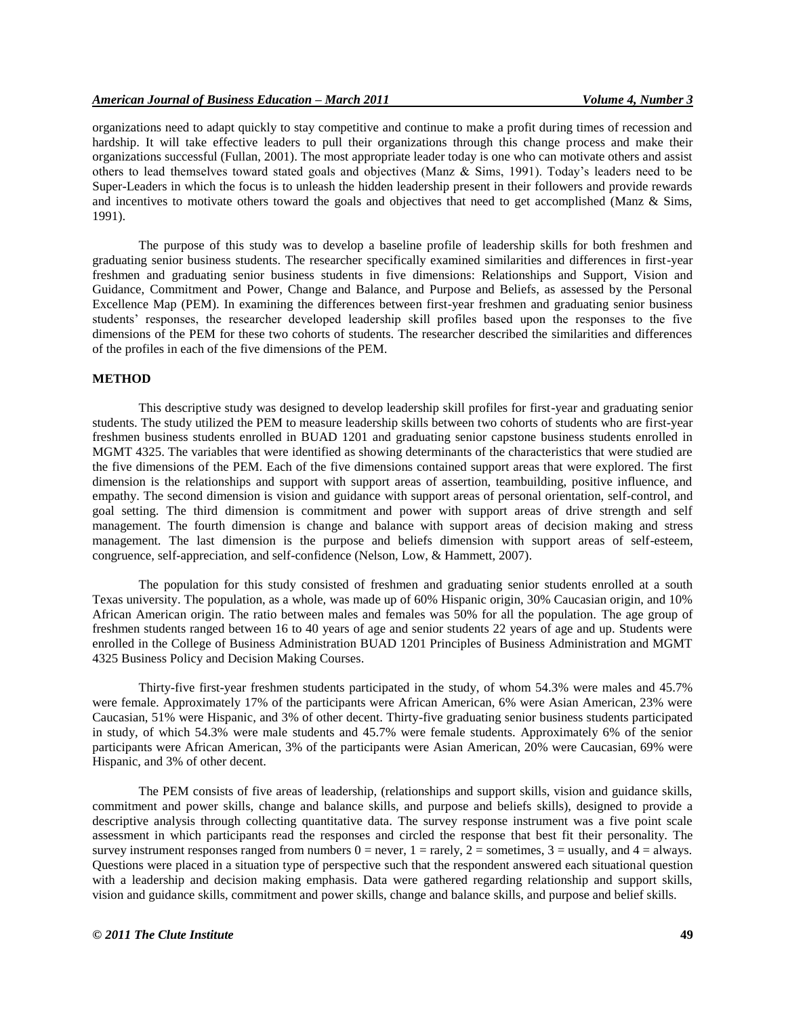organizations need to adapt quickly to stay competitive and continue to make a profit during times of recession and hardship. It will take effective leaders to pull their organizations through this change process and make their organizations successful (Fullan, 2001). The most appropriate leader today is one who can motivate others and assist others to lead themselves toward stated goals and objectives (Manz & Sims, 1991). Today's leaders need to be Super-Leaders in which the focus is to unleash the hidden leadership present in their followers and provide rewards and incentives to motivate others toward the goals and objectives that need to get accomplished (Manz & Sims, 1991).

The purpose of this study was to develop a baseline profile of leadership skills for both freshmen and graduating senior business students. The researcher specifically examined similarities and differences in first-year freshmen and graduating senior business students in five dimensions: Relationships and Support, Vision and Guidance, Commitment and Power, Change and Balance, and Purpose and Beliefs, as assessed by the Personal Excellence Map (PEM). In examining the differences between first-year freshmen and graduating senior business students' responses, the researcher developed leadership skill profiles based upon the responses to the five dimensions of the PEM for these two cohorts of students. The researcher described the similarities and differences of the profiles in each of the five dimensions of the PEM.

#### **METHOD**

This descriptive study was designed to develop leadership skill profiles for first-year and graduating senior students. The study utilized the PEM to measure leadership skills between two cohorts of students who are first-year freshmen business students enrolled in BUAD 1201 and graduating senior capstone business students enrolled in MGMT 4325. The variables that were identified as showing determinants of the characteristics that were studied are the five dimensions of the PEM. Each of the five dimensions contained support areas that were explored. The first dimension is the relationships and support with support areas of assertion, teambuilding, positive influence, and empathy. The second dimension is vision and guidance with support areas of personal orientation, self-control, and goal setting. The third dimension is commitment and power with support areas of drive strength and self management. The fourth dimension is change and balance with support areas of decision making and stress management. The last dimension is the purpose and beliefs dimension with support areas of self-esteem, congruence, self-appreciation, and self-confidence (Nelson, Low, & Hammett, 2007).

The population for this study consisted of freshmen and graduating senior students enrolled at a south Texas university. The population, as a whole, was made up of 60% Hispanic origin, 30% Caucasian origin, and 10% African American origin. The ratio between males and females was 50% for all the population. The age group of freshmen students ranged between 16 to 40 years of age and senior students 22 years of age and up. Students were enrolled in the College of Business Administration BUAD 1201 Principles of Business Administration and MGMT 4325 Business Policy and Decision Making Courses.

Thirty-five first-year freshmen students participated in the study, of whom 54.3% were males and 45.7% were female. Approximately 17% of the participants were African American, 6% were Asian American, 23% were Caucasian, 51% were Hispanic, and 3% of other decent. Thirty-five graduating senior business students participated in study, of which 54.3% were male students and 45.7% were female students. Approximately 6% of the senior participants were African American, 3% of the participants were Asian American, 20% were Caucasian, 69% were Hispanic, and 3% of other decent.

The PEM consists of five areas of leadership, (relationships and support skills, vision and guidance skills, commitment and power skills, change and balance skills, and purpose and beliefs skills), designed to provide a descriptive analysis through collecting quantitative data. The survey response instrument was a five point scale assessment in which participants read the responses and circled the response that best fit their personality. The survey instrument responses ranged from numbers  $0 =$  never,  $1 =$  rarely,  $2 =$  sometimes,  $3 =$  usually, and  $4 =$  always. Questions were placed in a situation type of perspective such that the respondent answered each situational question with a leadership and decision making emphasis. Data were gathered regarding relationship and support skills, vision and guidance skills, commitment and power skills, change and balance skills, and purpose and belief skills.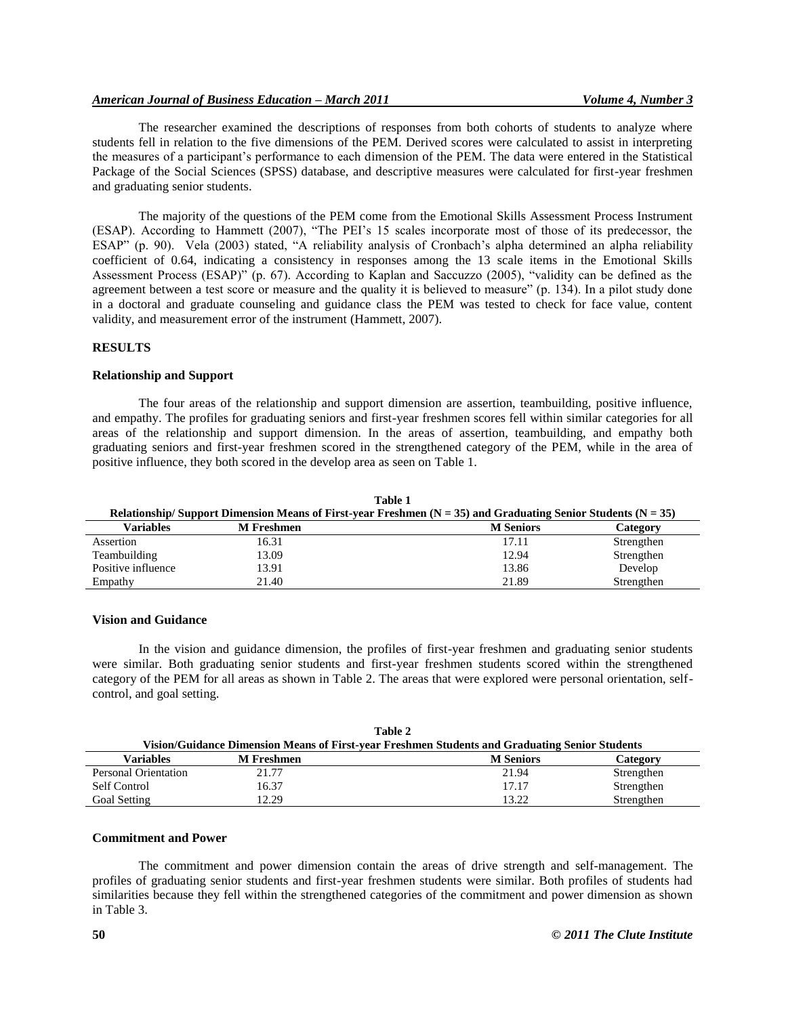## *American Journal of Business Education – March 2011 Volume 4, Number 3*

The researcher examined the descriptions of responses from both cohorts of students to analyze where students fell in relation to the five dimensions of the PEM. Derived scores were calculated to assist in interpreting the measures of a participant's performance to each dimension of the PEM. The data were entered in the Statistical Package of the Social Sciences (SPSS) database, and descriptive measures were calculated for first-year freshmen and graduating senior students.

The majority of the questions of the PEM come from the Emotional Skills Assessment Process Instrument (ESAP). According to Hammett (2007), "The PEI's 15 scales incorporate most of those of its predecessor, the ESAP" (p. 90). Vela (2003) stated, "A reliability analysis of Cronbach's alpha determined an alpha reliability coefficient of 0.64, indicating a consistency in responses among the 13 scale items in the Emotional Skills Assessment Process (ESAP)" (p. 67). According to Kaplan and Saccuzzo (2005), "validity can be defined as the agreement between a test score or measure and the quality it is believed to measure" (p. 134). In a pilot study done in a doctoral and graduate counseling and guidance class the PEM was tested to check for face value, content validity, and measurement error of the instrument (Hammett, 2007).

## **RESULTS**

#### **Relationship and Support**

The four areas of the relationship and support dimension are assertion, teambuilding, positive influence, and empathy. The profiles for graduating seniors and first-year freshmen scores fell within similar categories for all areas of the relationship and support dimension. In the areas of assertion, teambuilding, and empathy both graduating seniors and first-year freshmen scored in the strengthened category of the PEM, while in the area of positive influence, they both scored in the develop area as seen on Table 1.

| таріс т<br>Relationship/Support Dimension Means of First-year Freshmen $(N = 35)$ and Graduating Senior Students $(N = 35)$ |                   |                  |            |
|-----------------------------------------------------------------------------------------------------------------------------|-------------------|------------------|------------|
| Variables                                                                                                                   | <b>M</b> Freshmen | <b>M</b> Seniors | Category   |
| Assertion                                                                                                                   | 16.31             | 17.11            | Strengthen |
| Teambuilding                                                                                                                | 13.09             | 12.94            | Strengthen |
| Positive influence                                                                                                          | 13.91             | 13.86            | Develop    |
| Empathy                                                                                                                     | 21.40             | 21.89            | Strengthen |

**Table 1**

## **Vision and Guidance**

In the vision and guidance dimension, the profiles of first-year freshmen and graduating senior students were similar. Both graduating senior students and first-year freshmen students scored within the strengthened category of the PEM for all areas as shown in Table 2. The areas that were explored were personal orientation, selfcontrol, and goal setting.

| Table 2                                                                                        |                   |                  |            |
|------------------------------------------------------------------------------------------------|-------------------|------------------|------------|
| Vision/Guidance Dimension Means of First-year Freshmen Students and Graduating Senior Students |                   |                  |            |
| Variables                                                                                      | <b>M</b> Freshmen | <b>M</b> Seniors | Category   |
| Personal Orientation                                                                           | 21.77             | 21.94            | Strengthen |
| Self Control                                                                                   | 16.37             | 17.17            | Strengthen |
| Goal Setting                                                                                   | 12.29             | 13.22            | Strengthen |

#### **Commitment and Power**

The commitment and power dimension contain the areas of drive strength and self-management. The profiles of graduating senior students and first-year freshmen students were similar. Both profiles of students had similarities because they fell within the strengthened categories of the commitment and power dimension as shown in Table 3.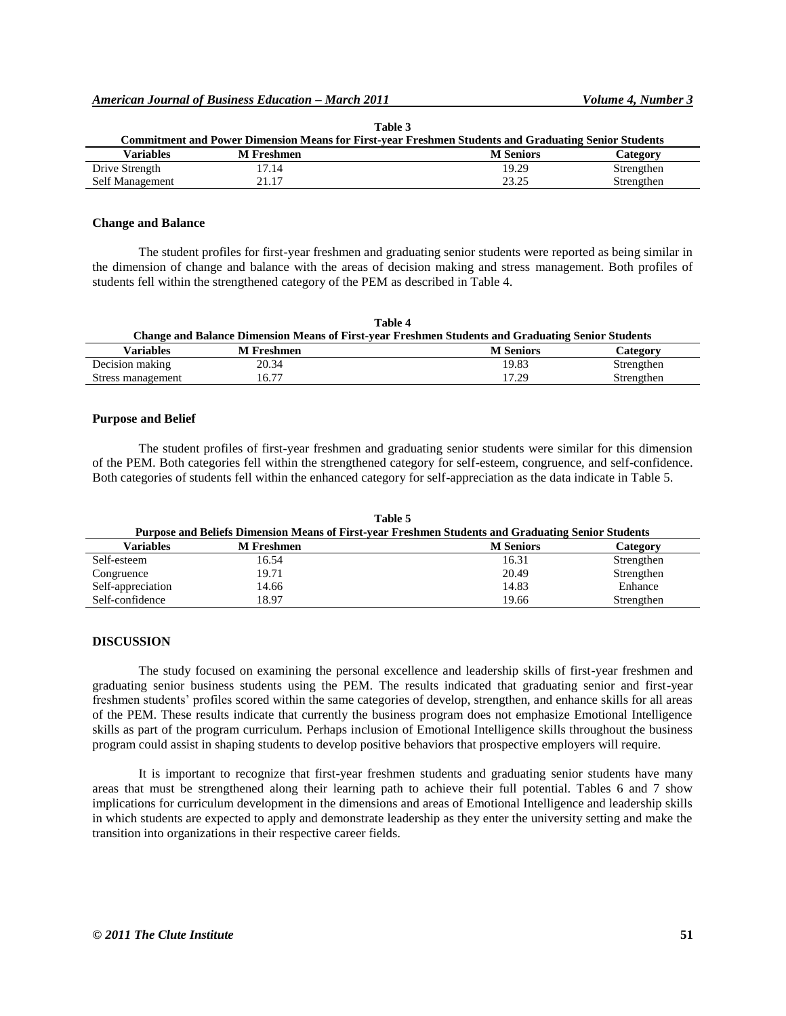| Lable 5                                                                                              |                   |                  |            |
|------------------------------------------------------------------------------------------------------|-------------------|------------------|------------|
| Commitment and Power Dimension Means for First-year Freshmen Students and Graduating Senior Students |                   |                  |            |
| Variables                                                                                            | <b>M</b> Freshmen | <b>M</b> Seniors | Category   |
| Drive Strength                                                                                       | 17.14             | 19.29            | Strengthen |
| Self Management                                                                                      | 21.17             | 23.25            | Strengthen |

**Table 3** 

## **Change and Balance**

The student profiles for first-year freshmen and graduating senior students were reported as being similar in the dimension of change and balance with the areas of decision making and stress management. Both profiles of students fell within the strengthened category of the PEM as described in Table 4.

| Table 4                                                                                                  |                   |                  |            |
|----------------------------------------------------------------------------------------------------------|-------------------|------------------|------------|
| <b>Change and Balance Dimension Means of First-year Freshmen Students and Graduating Senior Students</b> |                   |                  |            |
| Variables                                                                                                | <b>M</b> Freshmen | <b>M</b> Seniors | Category   |
| Decision making                                                                                          | 20.34             | 19.83            | Strengthen |
| Stress management                                                                                        | 16.77             | 17.29            | Strengthen |

## **Purpose and Belief**

The student profiles of first-year freshmen and graduating senior students were similar for this dimension of the PEM. Both categories fell within the strengthened category for self-esteem, congruence, and self-confidence. Both categories of students fell within the enhanced category for self-appreciation as the data indicate in Table 5.

| Table 5                                                                                            |                   |                  |            |
|----------------------------------------------------------------------------------------------------|-------------------|------------------|------------|
| Purpose and Beliefs Dimension Means of First-year Freshmen Students and Graduating Senior Students |                   |                  |            |
| Variables                                                                                          | <b>M</b> Freshmen | <b>M</b> Seniors | Category   |
| Self-esteem                                                                                        | 16.54             | 16.31            | Strengthen |
| Congruence                                                                                         | 19.71             | 20.49            | Strengthen |
| Self-appreciation                                                                                  | 14.66             | 14.83            | Enhance    |
| Self-confidence                                                                                    | 18.97             | 19.66            | Strengthen |

## **DISCUSSION**

The study focused on examining the personal excellence and leadership skills of first-year freshmen and graduating senior business students using the PEM. The results indicated that graduating senior and first-year freshmen students' profiles scored within the same categories of develop, strengthen, and enhance skills for all areas of the PEM. These results indicate that currently the business program does not emphasize Emotional Intelligence skills as part of the program curriculum. Perhaps inclusion of Emotional Intelligence skills throughout the business program could assist in shaping students to develop positive behaviors that prospective employers will require.

It is important to recognize that first-year freshmen students and graduating senior students have many areas that must be strengthened along their learning path to achieve their full potential. Tables 6 and 7 show implications for curriculum development in the dimensions and areas of Emotional Intelligence and leadership skills in which students are expected to apply and demonstrate leadership as they enter the university setting and make the transition into organizations in their respective career fields.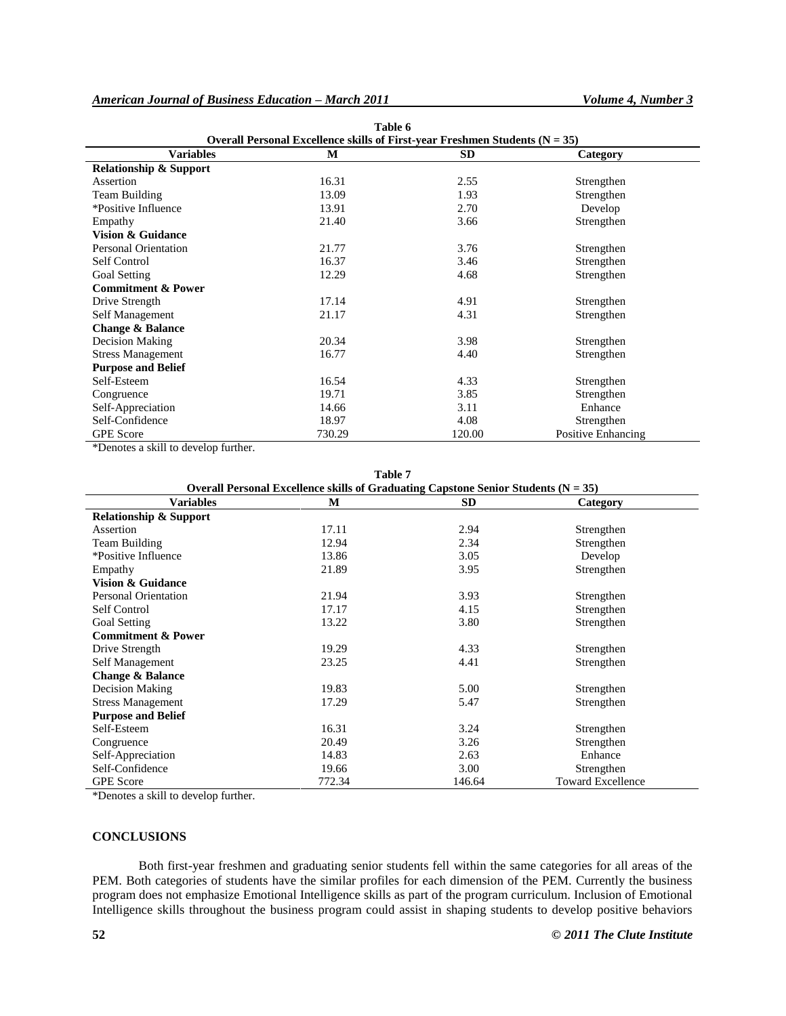# *American Journal of Business Education – March 2011 Volume 4, Number 3*

| Table 6                                                                         |        |           |                    |  |
|---------------------------------------------------------------------------------|--------|-----------|--------------------|--|
| Overall Personal Excellence skills of First-year Freshmen Students ( $N = 35$ ) |        |           |                    |  |
| <b>Variables</b>                                                                | М      | <b>SD</b> | Category           |  |
| <b>Relationship &amp; Support</b>                                               |        |           |                    |  |
| Assertion                                                                       | 16.31  | 2.55      | Strengthen         |  |
| Team Building                                                                   | 13.09  | 1.93      | Strengthen         |  |
| *Positive Influence                                                             | 13.91  | 2.70      | Develop            |  |
| Empathy                                                                         | 21.40  | 3.66      | Strengthen         |  |
| <b>Vision &amp; Guidance</b>                                                    |        |           |                    |  |
| <b>Personal Orientation</b>                                                     | 21.77  | 3.76      | Strengthen         |  |
| Self Control                                                                    | 16.37  | 3.46      | Strengthen         |  |
| <b>Goal Setting</b>                                                             | 12.29  | 4.68      | Strengthen         |  |
| <b>Commitment &amp; Power</b>                                                   |        |           |                    |  |
| Drive Strength                                                                  | 17.14  | 4.91      | Strengthen         |  |
| Self Management                                                                 | 21.17  | 4.31      | Strengthen         |  |
| <b>Change &amp; Balance</b>                                                     |        |           |                    |  |
| Decision Making                                                                 | 20.34  | 3.98      | Strengthen         |  |
| <b>Stress Management</b>                                                        | 16.77  | 4.40      | Strengthen         |  |
| <b>Purpose and Belief</b>                                                       |        |           |                    |  |
| Self-Esteem                                                                     | 16.54  | 4.33      | Strengthen         |  |
| Congruence                                                                      | 19.71  | 3.85      | Strengthen         |  |
| Self-Appreciation                                                               | 14.66  | 3.11      | Enhance            |  |
| Self-Confidence                                                                 | 18.97  | 4.08      | Strengthen         |  |
| <b>GPE</b> Score                                                                | 730.29 | 120.00    | Positive Enhancing |  |

\*Denotes a skill to develop further.

| Table 7                                                                                |        |           |                          |  |
|----------------------------------------------------------------------------------------|--------|-----------|--------------------------|--|
| Overall Personal Excellence skills of Graduating Capstone Senior Students ( $N = 35$ ) |        |           |                          |  |
| <b>Variables</b>                                                                       | M      | <b>SD</b> | Category                 |  |
| <b>Relationship &amp; Support</b>                                                      |        |           |                          |  |
| Assertion                                                                              | 17.11  | 2.94      | Strengthen               |  |
| Team Building                                                                          | 12.94  | 2.34      | Strengthen               |  |
| *Positive Influence                                                                    | 13.86  | 3.05      | Develop                  |  |
| Empathy                                                                                | 21.89  | 3.95      | Strengthen               |  |
| <b>Vision &amp; Guidance</b>                                                           |        |           |                          |  |
| <b>Personal Orientation</b>                                                            | 21.94  | 3.93      | Strengthen               |  |
| Self Control                                                                           | 17.17  | 4.15      | Strengthen               |  |
| <b>Goal Setting</b>                                                                    | 13.22  | 3.80      | Strengthen               |  |
| <b>Commitment &amp; Power</b>                                                          |        |           |                          |  |
| Drive Strength                                                                         | 19.29  | 4.33      | Strengthen               |  |
| Self Management                                                                        | 23.25  | 4.41      | Strengthen               |  |
| <b>Change &amp; Balance</b>                                                            |        |           |                          |  |
| Decision Making                                                                        | 19.83  | 5.00      | Strengthen               |  |
| <b>Stress Management</b>                                                               | 17.29  | 5.47      | Strengthen               |  |
| <b>Purpose and Belief</b>                                                              |        |           |                          |  |
| Self-Esteem                                                                            | 16.31  | 3.24      | Strengthen               |  |
| Congruence                                                                             | 20.49  | 3.26      | Strengthen               |  |
| Self-Appreciation                                                                      | 14.83  | 2.63      | Enhance                  |  |
| Self-Confidence                                                                        | 19.66  | 3.00      | Strengthen               |  |
| <b>GPE</b> Score                                                                       | 772.34 | 146.64    | <b>Toward Excellence</b> |  |

\*Denotes a skill to develop further.

## **CONCLUSIONS**

Both first-year freshmen and graduating senior students fell within the same categories for all areas of the PEM. Both categories of students have the similar profiles for each dimension of the PEM. Currently the business program does not emphasize Emotional Intelligence skills as part of the program curriculum. Inclusion of Emotional Intelligence skills throughout the business program could assist in shaping students to develop positive behaviors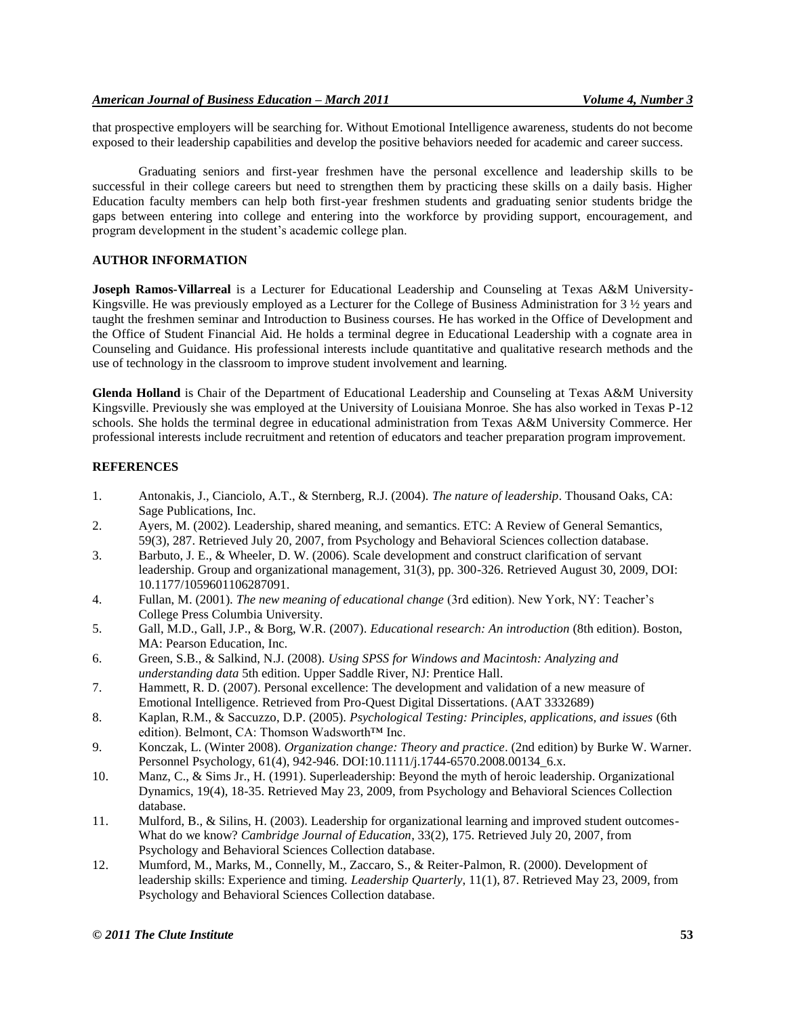that prospective employers will be searching for. Without Emotional Intelligence awareness, students do not become exposed to their leadership capabilities and develop the positive behaviors needed for academic and career success.

Graduating seniors and first-year freshmen have the personal excellence and leadership skills to be successful in their college careers but need to strengthen them by practicing these skills on a daily basis. Higher Education faculty members can help both first-year freshmen students and graduating senior students bridge the gaps between entering into college and entering into the workforce by providing support, encouragement, and program development in the student's academic college plan.

# **AUTHOR INFORMATION**

**Joseph Ramos-Villarreal** is a Lecturer for Educational Leadership and Counseling at Texas A&M University-Kingsville. He was previously employed as a Lecturer for the College of Business Administration for 3 ½ years and taught the freshmen seminar and Introduction to Business courses. He has worked in the Office of Development and the Office of Student Financial Aid. He holds a terminal degree in Educational Leadership with a cognate area in Counseling and Guidance. His professional interests include quantitative and qualitative research methods and the use of technology in the classroom to improve student involvement and learning.

**Glenda Holland** is Chair of the Department of Educational Leadership and Counseling at Texas A&M University Kingsville. Previously she was employed at the University of Louisiana Monroe. She has also worked in Texas P-12 schools. She holds the terminal degree in educational administration from Texas A&M University Commerce. Her professional interests include recruitment and retention of educators and teacher preparation program improvement.

## **REFERENCES**

- 1. Antonakis, J., Cianciolo, A.T., & Sternberg, R.J. (2004). *The nature of leadership*. Thousand Oaks, CA: Sage Publications, Inc.
- 2. Ayers, M. (2002). Leadership, shared meaning, and semantics. ETC: A Review of General Semantics, 59(3), 287. Retrieved July 20, 2007, from Psychology and Behavioral Sciences collection database.
- 3. Barbuto, J. E., & Wheeler, D. W. (2006). Scale development and construct clarification of servant leadership. Group and organizational management, 31(3), pp. 300-326. Retrieved August 30, 2009, DOI: 10.1177/1059601106287091.
- 4. Fullan, M. (2001). *The new meaning of educational change* (3rd edition). New York, NY: Teacher's College Press Columbia University.
- 5. Gall, M.D., Gall, J.P., & Borg, W.R. (2007). *Educational research: An introduction* (8th edition). Boston, MA: Pearson Education, Inc.
- 6. Green, S.B., & Salkind, N.J. (2008). *Using SPSS for Windows and Macintosh: Analyzing and understanding data* 5th edition. Upper Saddle River, NJ: Prentice Hall.
- 7. Hammett, R. D. (2007). Personal excellence: The development and validation of a new measure of Emotional Intelligence. Retrieved from Pro-Quest Digital Dissertations. (AAT 3332689)
- 8. Kaplan, R.M., & Saccuzzo, D.P. (2005). *Psychological Testing: Principles, applications, and issues* (6th edition). Belmont, CA: Thomson Wadsworth™ Inc.
- 9. Konczak, L. (Winter 2008). *Organization change: Theory and practice*. (2nd edition) by Burke W. Warner. Personnel Psychology, 61(4), 942-946. DOI:10.1111/j.1744-6570.2008.00134\_6.x.
- 10. Manz, C., & Sims Jr., H. (1991). Superleadership: Beyond the myth of heroic leadership. Organizational Dynamics, 19(4), 18-35. Retrieved May 23, 2009, from Psychology and Behavioral Sciences Collection database.
- 11. Mulford, B., & Silins, H. (2003). Leadership for organizational learning and improved student outcomes-What do we know? *Cambridge Journal of Education*, 33(2), 175. Retrieved July 20, 2007, from Psychology and Behavioral Sciences Collection database.
- 12. Mumford, M., Marks, M., Connelly, M., Zaccaro, S., & Reiter-Palmon, R. (2000). Development of leadership skills: Experience and timing. *Leadership Quarterly*, 11(1), 87. Retrieved May 23, 2009, from Psychology and Behavioral Sciences Collection database.